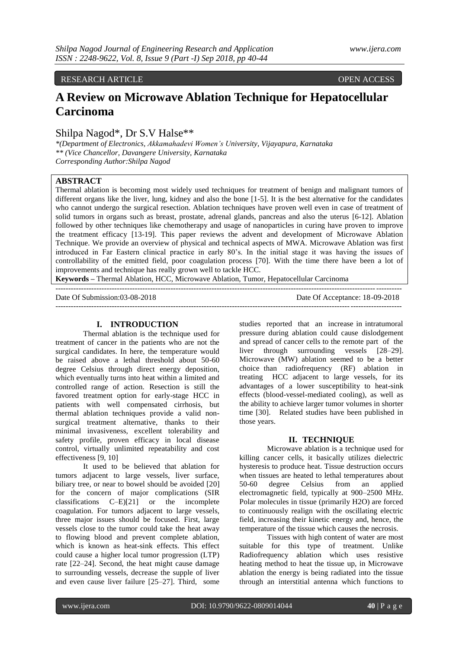### RESEARCH ARTICLE **CONSERVANCE OPEN ACCESS**

# **A Review on Microwave Ablation Technique for Hepatocellular Carcinoma**

## Shilpa Nagod\*, Dr S.V Halse\*\*

*\*(Department of Electronics, Akkamahadevi Women's University, Vijayapura, Karnataka \*\* (Vice Chancellor, Davangere University, Karnataka Corresponding Author:Shilpa Nagod*

## **ABSTRACT**

Thermal ablation is becoming most widely used techniques for treatment of benign and malignant tumors of different organs like the liver, lung, kidney and also the bone [1-5]. It is the best alternative for the candidates who cannot undergo the surgical resection. Ablation techniques have proven well even in case of treatment of solid tumors in organs such as breast, prostate, adrenal glands, pancreas and also the uterus [6-12]. Ablation followed by other techniques like chemotherapy and usage of nanoparticles in curing have proven to improve the treatment efficacy [13-19]. This paper reviews the advent and development of Microwave Ablation Technique. We provide an overview of physical and technical aspects of MWA. Microwave Ablation was first introduced in Far Eastern clinical practice in early 80's. In the initial stage it was having the issues of controllability of the emitted field, poor coagulation process [70]. With the time there have been a lot of improvements and technique has really grown well to tackle HCC.

---------------------------------------------------------------------------------------------------------------------------------------

---------------------------------------------------------------------------------------------------------------------------------------

**Keywords –** Thermal Ablation, HCC, Microwave Ablation, Tumor, Hepatocellular Carcinoma

Date Of Submission:03-08-2018 Date Of Acceptance: 18-09-2018

#### **I. INTRODUCTION**

Thermal ablation is the technique used for treatment of cancer in the patients who are not the surgical candidates. In here, the temperature would be raised above a lethal threshold about 50-60 degree Celsius through direct energy deposition, which eventually turns into heat within a limited and controlled range of action. Resection is still the favored treatment option for early-stage HCC in patients with well compensated cirrhosis, but thermal ablation techniques provide a valid nonsurgical treatment alternative, thanks to their minimal invasiveness, excellent tolerability and safety profile, proven efficacy in local disease control, virtually unlimited repeatability and cost effectiveness [9, 10]

It used to be believed that ablation for tumors adjacent to large vessels, liver surface, biliary tree, or near to bowel should be avoided [20] for the concern of major complications (SIR classifications C–E)[21] or the incomplete coagulation. For tumors adjacent to large vessels, three major issues should be focused. First, large vessels close to the tumor could take the heat away to flowing blood and prevent complete ablation, which is known as heat-sink effects. This effect could cause a higher local tumor progression (LTP) rate [22–24]. Second, the heat might cause damage to surrounding vessels, decrease the supple of liver and even cause liver failure [25–27]. Third, some

studies reported that an increase in intratumoral pressure during ablation could cause dislodgement and spread of cancer cells to the remote part of the liver through surrounding vessels [28–29]. Microwave (MW) ablation seemed to be a better choice than radiofrequency (RF) ablation in treating HCC adjacent to large vessels, for its advantages of a lower susceptibility to heat-sink effects (blood-vessel-mediated cooling), as well as the ability to achieve larger tumor volumes in shorter time [30]. Related studies have been published in those years.

#### **II. TECHNIQUE**

Microwave ablation is a technique used for killing cancer cells, it basically utilizes dielectric hysteresis to produce heat. Tissue destruction occurs when tissues are heated to lethal temperatures about 50-60 degree Celsius from an applied electromagnetic field, typically at 900–2500 MHz. Polar molecules in tissue (primarily H2O) are forced to continuously realign with the oscillating electric field, increasing their kinetic energy and, hence, the temperature of the tissue which causes the necrosis.

Tissues with high content of water are most suitable for this type of treatment. Unlike Radiofrequency ablation which uses resistive heating method to heat the tissue up, in Microwave ablation the energy is being radiated into the tissue through an interstitial antenna which functions to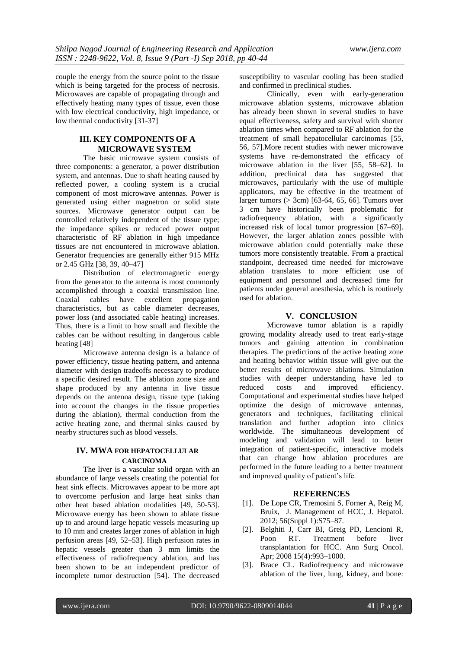couple the energy from the source point to the tissue which is being targeted for the process of necrosis. Microwaves are capable of propagating through and effectively heating many types of tissue, even those with low electrical conductivity, high impedance, or low thermal conductivity [31-37]

## **III. KEY COMPONENTS OF A MICROWAVE SYSTEM**

The basic microwave system consists of three components: a generator, a power distribution system, and antennas. Due to shaft heating caused by reflected power, a cooling system is a crucial component of most microwave antennas. Power is generated using either magnetron or solid state sources. Microwave generator output can be controlled relatively independent of the tissue type; the impedance spikes or reduced power output characteristic of RF ablation in high impedance tissues are not encountered in microwave ablation. Generator frequencies are generally either 915 MHz or 2.45 GHz [38, 39, 40–47]

Distribution of electromagnetic energy from the generator to the antenna is most commonly accomplished through a coaxial transmission line. Coaxial cables have excellent propagation characteristics, but as cable diameter decreases, power loss (and associated cable heating) increases. Thus, there is a limit to how small and flexible the cables can be without resulting in dangerous cable heating [48]

Microwave antenna design is a balance of power efficiency, tissue heating pattern, and antenna diameter with design tradeoffs necessary to produce a specific desired result. The ablation zone size and shape produced by any antenna in live tissue depends on the antenna design, tissue type (taking into account the changes in the tissue properties during the ablation), thermal conduction from the active heating zone, and thermal sinks caused by nearby structures such as blood vessels.

## **IV. MWA FOR HEPATOCELLULAR CARCINOMA**

The liver is a vascular solid organ with an abundance of large vessels creating the potential for heat sink effects. Microwaves appear to be more apt to overcome perfusion and large heat sinks than other heat based ablation modalities [49, 50-53]. Microwave energy has been shown to ablate tissue up to and around large hepatic vessels measuring up to 10 mm and creates larger zones of ablation in high perfusion areas [49, 52–53]. High perfusion rates in hepatic vessels greater than 3 mm limits the effectiveness of radiofrequency ablation, and has been shown to be an independent predictor of incomplete tumor destruction [54]. The decreased susceptibility to vascular cooling has been studied and confirmed in preclinical studies.

Clinically, even with early-generation microwave ablation systems, microwave ablation has already been shown in several studies to have equal effectiveness, safety and survival with shorter ablation times when compared to RF ablation for the treatment of small hepatocellular carcinomas [55, 56, 57].More recent studies with newer microwave systems have re-demonstrated the efficacy of microwave ablation in the liver [55, 58–62]. In addition, preclinical data has suggested that microwaves, particularly with the use of multiple applicators, may be effective in the treatment of larger tumors (> 3cm) [63-64, 65, 66]. Tumors over 3 cm have historically been problematic for radiofrequency ablation, with a significantly increased risk of local tumor progression [67–69]. However, the larger ablation zones possible with microwave ablation could potentially make these tumors more consistently treatable. From a practical standpoint, decreased time needed for microwave ablation translates to more efficient use of equipment and personnel and decreased time for patients under general anesthesia, which is routinely used for ablation.

## **V. CONCLUSION**

Microwave tumor ablation is a rapidly growing modality already used to treat early-stage tumors and gaining attention in combination therapies. The predictions of the active heating zone and heating behavior within tissue will give out the better results of microwave ablations. Simulation studies with deeper understanding have led to reduced costs and improved efficiency. Computational and experimental studies have helped optimize the design of microwave antennas, generators and techniques, facilitating clinical translation and further adoption into clinics worldwide. The simultaneous development of modeling and validation will lead to better integration of patient-specific, interactive models that can change how ablation procedures are performed in the future leading to a better treatment and improved quality of patient's life.

#### **REFERENCES**

- [1]. De Lope CR, Tremosini S, Forner A, Reig M, Bruix, J. Management of HCC, J. Hepatol. 2012; 56(Suppl 1):S75–87.
- [2]. Belghiti J, Carr BI, Greig PD, Lencioni R, Poon RT. Treatment before liver transplantation for HCC. Ann Surg Oncol. Apr; 2008 15(4):993–1000.
- [3]. Brace CL. Radiofrequency and microwave ablation of the liver, lung, kidney, and bone: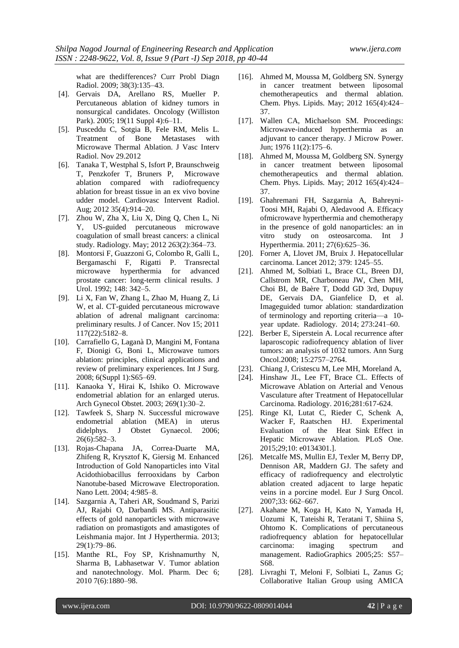what are thedifferences? Curr Probl Diagn Radiol. 2009; 38(3):135–43.

- [4]. Gervais DA, Arellano RS, Mueller P. Percutaneous ablation of kidney tumors in nonsurgical candidates. Oncology (Williston Park). 2005; 19(11 Suppl 4):6–11.
- [5]. Pusceddu C, Sotgia B, Fele RM, Melis L. Treatment of Bone Metastases with Microwave Thermal Ablation. J Vasc Interv Radiol. Nov 29.2012
- [6]. Tanaka T, Westphal S, Isfort P, Braunschweig T, Penzkofer T, Bruners P, Microwave ablation compared with radiofrequency ablation for breast tissue in an ex vivo bovine udder model. Cardiovasc Intervent Radiol. Aug; 2012 35(4):914–20.
- [7]. Zhou W, Zha X, Liu X, Ding Q, Chen L, Ni Y, US-guided percutaneous microwave coagulation of small breast cancers: a clinical study. Radiology. May; 2012 263(2):364–73.
- [8]. Montorsi F, Guazzoni G, Colombo R, Galli L, Bergamaschi F, Rigatti P. Transrectal microwave hyperthermia for advanced prostate cancer: long-term clinical results. J Urol. 1992; 148: 342–5.
- [9]. Li X, Fan W, Zhang L, Zhao M, Huang Z, Li W, et al. CT-guided percutaneous microwave ablation of adrenal malignant carcinoma: preliminary results. J of Cancer. Nov 15; 2011 117(22):5182–8.
- [10]. Carrafiello G, Laganà D, Mangini M, Fontana F, Dionigi G, Boni L, Microwave tumors ablation: principles, clinical applications and review of preliminary experiences. Int J Surg. 2008; 6(Suppl 1):S65–69.
- [11]. Kanaoka Y, Hirai K, Ishiko O. Microwave endometrial ablation for an enlarged uterus. Arch Gynecol Obstet. 2003; 269(1):30–2.
- [12]. Tawfeek S, Sharp N. Successful microwave endometrial ablation (MEA) in uterus didelphys. J Obstet Gynaecol. 2006; 26(6):582–3.
- [13]. Rojas-Chapana JA, Correa-Duarte MA, Zhifeng R, Krysztof K, Giersig M. Enhanced Introduction of Gold Nanoparticles into Vital Acidothiobacillus ferrooxidans by Carbon Nanotube-based Microwave Electroporation. Nano Lett. 2004; 4:985–8.
- [14]. Sazgarnia A, Taheri AR, Soudmand S, Parizi AJ, Rajabi O, Darbandi MS. Antiparasitic effects of gold nanoparticles with microwave radiation on promastigots and amastigotes of Leishmania major. Int J Hyperthermia. 2013; 29(1):79–86.
- [15]. Manthe RL, Foy SP, Krishnamurthy N, Sharma B, Labhasetwar V. Tumor ablation and nanotechnology. Mol. Pharm. Dec 6; 2010 7(6):1880–98.
- [16]. Ahmed M, Moussa M, Goldberg SN. Synergy in cancer treatment between liposomal chemotherapeutics and thermal ablation. Chem. Phys. Lipids. May; 2012 165(4):424– 37.
- [17]. Wallen CA, Michaelson SM. Proceedings: Microwave-induced hyperthermia as an adjuvant to cancer therapy. J Microw Power. Jun; 1976 11(2):175–6.
- [18]. Ahmed M, Moussa M, Goldberg SN. Synergy in cancer treatment between liposomal chemotherapeutics and thermal ablation. Chem. Phys. Lipids. May; 2012 165(4):424– 37.
- [19]. Ghahremani FH, Sazgarnia A, Bahreyni-Toosi MH, Rajabi O, Aledavood A. Efficacy ofmicrowave hyperthermia and chemotherapy in the presence of gold nanoparticles: an in vitro study on osteosarcoma. Int J Hyperthermia. 2011; 27(6):625–36.
- [20]. Forner A, Llovet JM, Bruix J. Hepatocellular carcinoma. Lancet 2012; 379: 1245–55.
- [21]. Ahmed M, Solbiati L, Brace CL, Breen DJ, Callstrom MR, Charboneau JW, Chen MH, Choi BI, de Baère T, Dodd GD 3rd, Dupuy DE, Gervais DA, Gianfelice D, et al. Imageguided tumor ablation: standardization of terminology and reporting criteria—a 10 year update. Radiology. 2014; 273:241–60.
- [22]. Berber E, Siperstein A. Local recurrence after laparoscopic radiofrequency ablation of liver tumors: an analysis of 1032 tumors. Ann Surg Oncol.2008; 15:2757–2764.
- [23]. Chiang J, Cristescu M, Lee MH, Moreland A,
- [24]. Hinshaw JL, Lee FT, Brace CL. Effects of Microwave Ablation on Arterial and Venous Vasculature after Treatment of Hepatocellular Carcinoma. Radiology. 2016;281:617-624.
- [25]. Ringe KI, Lutat C, Rieder C, Schenk A, Wacker F, Raatschen HJ. Experimental Evaluation of the Heat Sink Effect in Hepatic Microwave Ablation. PLoS One. 2015;29;10: e0134301.].
- [26]. Metcalfe MS, Mullin EJ, Texler M, Berry DP, Dennison AR, Maddern GJ. The safety and efficacy of radiofrequency and electrolytic ablation created adjacent to large hepatic veins in a porcine model. Eur J Surg Oncol. 2007;33: 662–667.
- [27]. Akahane M, Koga H, Kato N, Yamada H, Uozumi K, Tateishi R, Teratani T, Shiina S, Ohtomo K. Complications of percutaneous radiofrequency ablation for hepatocellular carcinoma: imaging spectrum and management. RadioGraphics 2005;25: S57– S68.
- [28]. Livraghi T, Meloni F, Solbiati L, Zanus G; Collaborative Italian Group using AMICA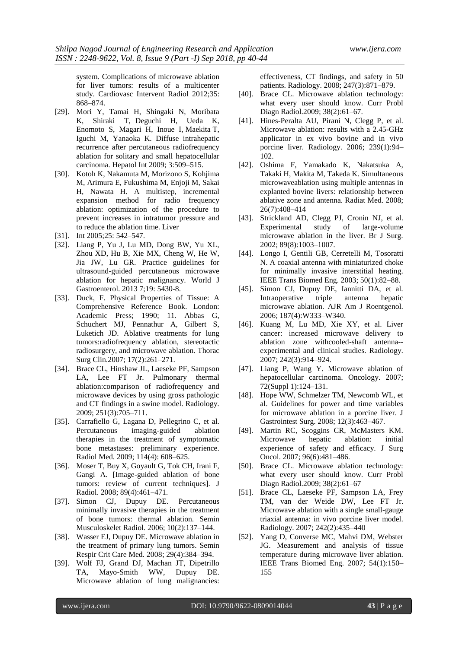system. Complications of microwave ablation for liver tumors: results of a multicenter study. Cardiovasc Intervent Radiol 2012;35: 868–874.

- [29]. Mori Y, Tamai H, Shingaki N, Moribata K, Shiraki T, Deguchi H, Ueda K, Enomoto S, Magari H, Inoue I, Maekita T, Iguchi M, Yanaoka K. Diffuse intrahepatic recurrence after percutaneous radiofrequency ablation for solitary and small hepatocellular carcinoma. Hepatol Int 2009; 3:509–515.
- [30]. Kotoh K, Nakamuta M, Morizono S, Kohjima M, Arimura E, Fukushima M, Enjoji M, Sakai H, Nawata H. A multistep, incremental expansion method for radio frequency ablation: optimization of the procedure to prevent increases in intratumor pressure and to reduce the ablation time. Liver
- [31]. Int 2005;25: 542–547.
- [32]. Liang P, Yu J, Lu MD, Dong BW, Yu XL, Zhou XD, Hu B, Xie MX, Cheng W, He W, Jia JW, Lu GR. Practice guidelines for ultrasound-guided percutaneous microwave ablation for hepatic malignancy. World J Gastroenterol. 2013 7;19: 5430-8.
- [33]. Duck, F. Physical Properties of Tissue: A Comprehensive Reference Book. London: Academic Press; 1990; 11. Abbas G, Schuchert MJ, Pennathur A, Gilbert S, Luketich JD. Ablative treatments for lung tumors:radiofrequency ablation, stereotactic radiosurgery, and microwave ablation. Thorac Surg Clin.2007; 17(2):261–271.
- [34]. Brace CL, Hinshaw JL, Laeseke PF, Sampson LA, Lee FT Jr. Pulmonary thermal ablation:comparison of radiofrequency and microwave devices by using gross pathologic and CT findings in a swine model. Radiology. 2009; 251(3):705–711.
- [35]. Carrafiello G, Lagana D, Pellegrino C, et al. Percutaneous imaging-guided ablation therapies in the treatment of symptomatic bone metastases: preliminary experience. Radiol Med. 2009; 114(4): 608–625.
- [36]. Moser T, Buy X, Goyault G, Tok CH, Irani F, Gangi A. [Image-guided ablation of bone tumors: review of current techniques]. J Radiol. 2008; 89(4):461–471.
- [37]. Simon CJ, Dupuy DE. Percutaneous minimally invasive therapies in the treatment of bone tumors: thermal ablation. Semin Musculoskelet Radiol. 2006; 10(2):137–144.
- [38]. Wasser EJ, Dupuy DE. Microwave ablation in the treatment of primary lung tumors. Semin Respir Crit Care Med. 2008; 29(4):384–394.
- [39]. Wolf FJ, Grand DJ, Machan JT, Dipetrillo TA, Mayo-Smith WW, Dupuy DE. Microwave ablation of lung malignancies:

effectiveness, CT findings, and safety in 50 patients. Radiology. 2008; 247(3):871–879.

- [40]. Brace CL. Microwave ablation technology: what every user should know. Curr Probl Diagn Radiol.2009; 38(2):61–67.
- [41]. Hines-Peralta AU, Pirani N, Clegg P, et al. Microwave ablation: results with a 2.45-GHz applicator in ex vivo bovine and in vivo porcine liver. Radiology. 2006; 239(1):94– 102.
- [42]. Oshima F, Yamakado K, Nakatsuka A, Takaki H, Makita M, Takeda K. Simultaneous microwaveablation using multiple antennas in explanted bovine livers: relationship between ablative zone and antenna. Radiat Med. 2008; 26(7):408–414
- [43]. Strickland AD, Clegg PJ, Cronin NJ, et al. Experimental study of large-volume microwave ablation in the liver. Br J Surg. 2002; 89(8):1003–1007.
- [44]. Longo I, Gentili GB, Cerretelli M, Tosoratti N. A coaxial antenna with miniaturized choke for minimally invasive interstitial heating. IEEE Trans Biomed Eng. 2003; 50(1):82–88.
- [45]. Simon CJ, Dupuy DE, Iannitti DA, et al. Intraoperative triple antenna hepatic microwave ablation. AJR Am J Roentgenol. 2006; 187(4):W333–W340.
- [46]. Kuang M, Lu MD, Xie XY, et al. Liver cancer: increased microwave delivery to ablation zone withcooled-shaft antenna- experimental and clinical studies. Radiology. 2007; 242(3):914–924.
- [47]. Liang P, Wang Y. Microwave ablation of hepatocellular carcinoma. Oncology. 2007; 72(Suppl 1):124–131.
- [48]. Hope WW, Schmelzer TM, Newcomb WL, et al. Guidelines for power and time variables for microwave ablation in a porcine liver. J Gastrointest Surg. 2008; 12(3):463–467.
- [49]. Martin RC, Scoggins CR, McMasters KM. Microwave hepatic ablation: initial experience of safety and efficacy. J Surg Oncol. 2007; 96(6):481–486.
- [50]. Brace CL. Microwave ablation technology: what every user should know. Curr Probl Diagn Radiol.2009; 38(2):61–67
- [51]. Brace CL, Laeseke PF, Sampson LA, Frey TM, van der Weide DW, Lee FT Jr. Microwave ablation with a single small-gauge triaxial antenna: in vivo porcine liver model. Radiology. 2007; 242(2):435–440
- [52]. Yang D, Converse MC, Mahvi DM, Webster JG. Measurement and analysis of tissue temperature during microwave liver ablation. IEEE Trans Biomed Eng. 2007; 54(1):150– 155